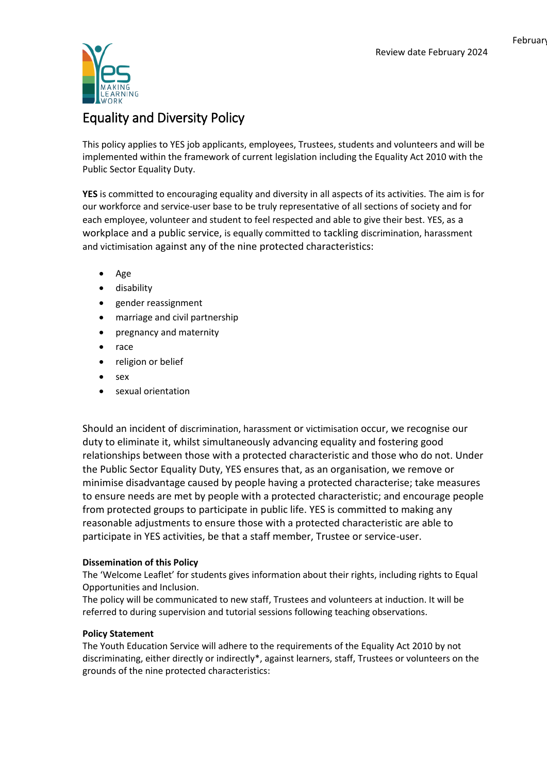

# Equality and Diversity Policy

This policy applies to YES job applicants, employees, Trustees, students and volunteers and will be implemented within the framework of current legislation including the Equality Act 2010 with the Public Sector Equality Duty.

**YES** is committed to encouraging equality and diversity in all aspects of its activities. The aim is for our workforce and service-user base to be truly representative of all sections of society and for each employee, volunteer and student to feel respected and able to give their best. YES, as a workplace and a public service, is equally committed to tackling discrimination, harassment and victimisation against any of the nine protected characteristics:

- Age
- **•** disability
- gender reassignment
- marriage and civil partnership
- pregnancy and maternity
- race
- religion or belief
- sex
- sexual orientation

Should an incident of discrimination, harassment or victimisation occur, we recognise our duty to eliminate it, whilst simultaneously advancing equality and fostering good relationships between those with a protected characteristic and those who do not. Under the Public Sector Equality Duty, YES ensures that, as an organisation, we remove or minimise disadvantage caused by people having a protected characterise; take measures to ensure needs are met by people with a protected characteristic; and encourage people from protected groups to participate in public life. YES is committed to making any reasonable adjustments to ensure those with a protected characteristic are able to participate in YES activities, be that a staff member, Trustee or service-user.

## **Dissemination of this Policy**

The 'Welcome Leaflet' for students gives information about their rights, including rights to Equal Opportunities and Inclusion.

The policy will be communicated to new staff, Trustees and volunteers at induction. It will be referred to during supervision and tutorial sessions following teaching observations.

## **Policy Statement**

The Youth Education Service will adhere to the requirements of the Equality Act 2010 by not discriminating, either directly or indirectly\*, against learners, staff, Trustees or volunteers on the grounds of the nine protected characteristics: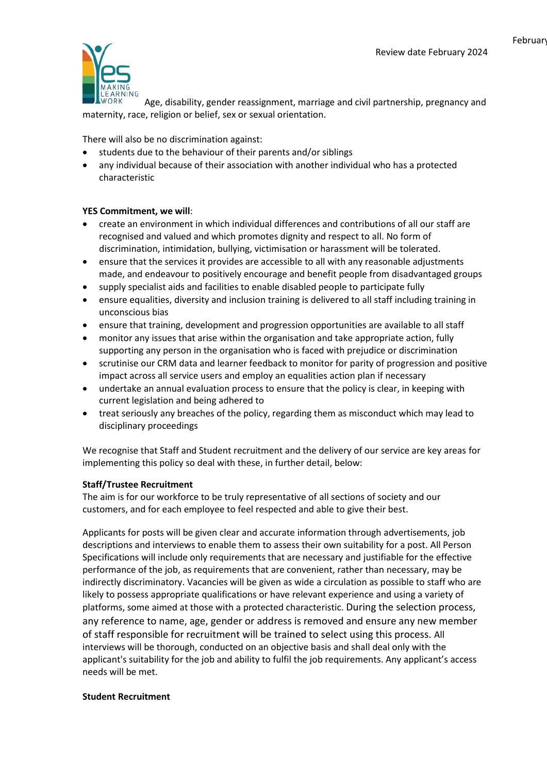February



Age, disability, gender reassignment, marriage and civil partnership, pregnancy and maternity, race, religion or belief, sex or sexual orientation.

There will also be no discrimination against:

- students due to the behaviour of their parents and/or siblings
- any individual because of their association with another individual who has a protected characteristic

#### **YES Commitment, we will**:

- create an environment in which individual differences and contributions of all our staff are recognised and valued and which promotes dignity and respect to all. No form of discrimination, intimidation, bullying, victimisation or harassment will be tolerated.
- ensure that the services it provides are accessible to all with any reasonable adjustments made, and endeavour to positively encourage and benefit people from disadvantaged groups
- supply specialist aids and facilities to enable disabled people to participate fully
- ensure equalities, diversity and inclusion training is delivered to all staff including training in unconscious bias
- ensure that training, development and progression opportunities are available to all staff
- monitor any issues that arise within the organisation and take appropriate action, fully supporting any person in the organisation who is faced with prejudice or discrimination
- scrutinise our CRM data and learner feedback to monitor for parity of progression and positive impact across all service users and employ an equalities action plan if necessary
- undertake an annual evaluation process to ensure that the policy is clear, in keeping with current legislation and being adhered to
- treat seriously any breaches of the policy, regarding them as misconduct which may lead to disciplinary proceedings

We recognise that Staff and Student recruitment and the delivery of our service are key areas for implementing this policy so deal with these, in further detail, below:

#### **Staff/Trustee Recruitment**

The aim is for our workforce to be truly representative of all sections of society and our customers, and for each employee to feel respected and able to give their best.

Applicants for posts will be given clear and accurate information through advertisements, job descriptions and interviews to enable them to assess their own suitability for a post. All Person Specifications will include only requirements that are necessary and justifiable for the effective performance of the job, as requirements that are convenient, rather than necessary, may be indirectly discriminatory. Vacancies will be given as wide a circulation as possible to staff who are likely to possess appropriate qualifications or have relevant experience and using a variety of platforms, some aimed at those with a protected characteristic. During the selection process, any reference to name, age, gender or address is removed and ensure any new member of staff responsible for recruitment will be trained to select using this process. All interviews will be thorough, conducted on an objective basis and shall deal only with the applicant's suitability for the job and ability to fulfil the job requirements. Any applicant's access needs will be met.

#### **Student Recruitment**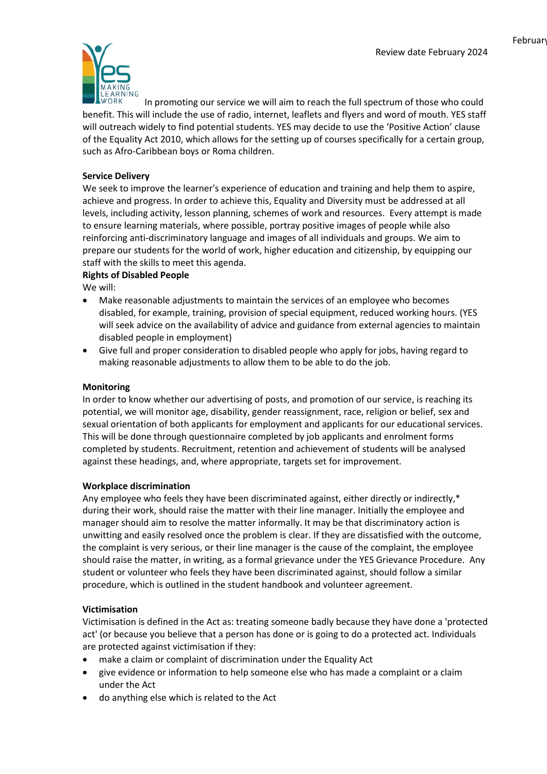

In promoting our service we will aim to reach the full spectrum of those who could benefit. This will include the use of radio, internet, leaflets and flyers and word of mouth. YES staff will outreach widely to find potential students. YES may decide to use the 'Positive Action' clause of the Equality Act 2010, which allows for the setting up of courses specifically for a certain group, such as Afro-Caribbean boys or Roma children.

## **Service Delivery**

We seek to improve the learner's experience of education and training and help them to aspire, achieve and progress. In order to achieve this, Equality and Diversity must be addressed at all levels, including activity, lesson planning, schemes of work and resources. Every attempt is made to ensure learning materials, where possible, portray positive images of people while also reinforcing anti-discriminatory language and images of all individuals and groups. We aim to prepare our students for the world of work, higher education and citizenship, by equipping our staff with the skills to meet this agenda.

## **Rights of Disabled People**

We will:

- Make reasonable adjustments to maintain the services of an employee who becomes disabled, for example, training, provision of special equipment, reduced working hours. (YES will seek advice on the availability of advice and guidance from external agencies to maintain disabled people in employment)
- Give full and proper consideration to disabled people who apply for jobs, having regard to making reasonable adjustments to allow them to be able to do the job.

## **Monitoring**

In order to know whether our advertising of posts, and promotion of our service, is reaching its potential, we will monitor age, disability, gender reassignment, race, religion or belief, sex and sexual orientation of both applicants for employment and applicants for our educational services. This will be done through questionnaire completed by job applicants and enrolment forms completed by students. Recruitment, retention and achievement of students will be analysed against these headings, and, where appropriate, targets set for improvement.

## **Workplace discrimination**

Any employee who feels they have been discriminated against, either directly or indirectly,\* during their work, should raise the matter with their line manager. Initially the employee and manager should aim to resolve the matter informally. It may be that discriminatory action is unwitting and easily resolved once the problem is clear. If they are dissatisfied with the outcome, the complaint is very serious, or their line manager is the cause of the complaint, the employee should raise the matter, in writing, as a formal grievance under the YES Grievance Procedure. Any student or volunteer who feels they have been discriminated against, should follow a similar procedure, which is outlined in the student handbook and volunteer agreement.

## **Victimisation**

Victimisation is defined in the Act as: treating someone badly because they have done a 'protected act' (or because you believe that a person has done or is going to do a protected act. Individuals are protected against victimisation if they:

- make a claim or complaint of discrimination under the Equality Act
- give evidence or information to help someone else who has made a complaint or a claim under the Act
- do anything else which is related to the Act